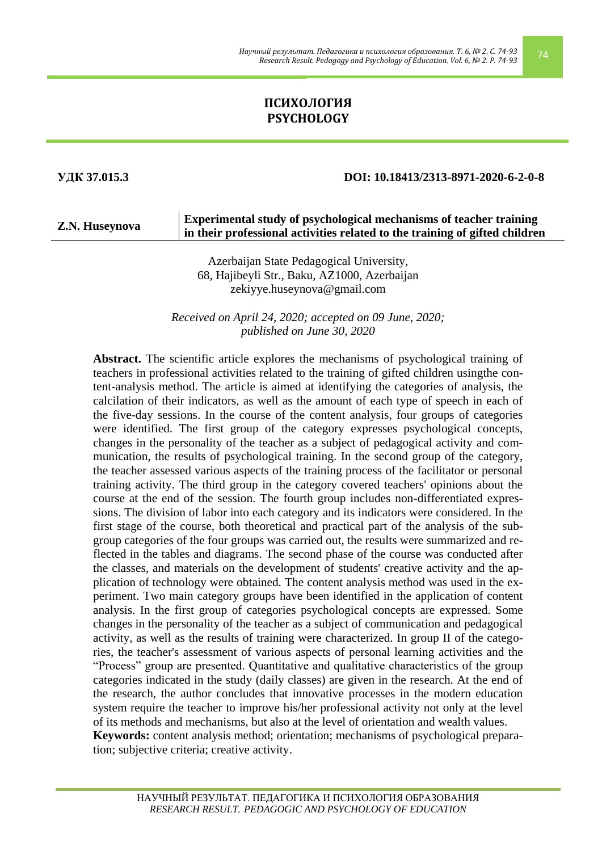# **ПСИХОЛОГИЯ PSYCHOLOGY**

#### **УДК 37.015.3 DOI: 10.18413/2313-8971-2020-6-2-0-8**

|                | Experimental study of psychological mechanisms of teacher training          |
|----------------|-----------------------------------------------------------------------------|
| Z.N. Huseynova | in their professional activities related to the training of gifted children |

Azerbaijan State Pedagogical University, 68, Hajibeyli Str., Baku, AZ1000, Azerbaijan [zekiyye.huseynova@gmail.com](mailto:zekiyye.huseynova@gmail.com)

*Received on April 24, 2020; accepted on 09 June, 2020; published on June 30, 2020*

**Abstract.** The scientific article explores the mechanisms of psychological training of teachers in professional activities related to the training of gifted children usingthe content-analysis method. The article is aimed at identifying the categories of analysis, the calcilation of their indicators, as well as the amount of each type of speech in each of the five-day sessions. In the course of the content analysis, four groups of categories were identified. The first group of the category expresses psychological concepts, changes in the personality of the teacher as a subject of pedagogical activity and communication, the results of psychological training. In the second group of the category, the teacher assessed various aspects of the training process of the facilitator or personal training activity. The third group in the category covered teachers' opinions about the course at the end of the session. The fourth group includes non-differentiated expressions. The division of labor into each category and its indicators were considered. In the first stage of the course, both theoretical and practical part of the analysis of the subgroup categories of the four groups was carried out, the results were summarized and reflected in the tables and diagrams. The second phase of the course was conducted after the classes, and materials on the development of students' creative activity and the application of technology were obtained. The content analysis method was used in the experiment. Two main category groups have been identified in the application of content analysis. In the first group of categories psychological concepts are expressed. Some changes in the personality of the teacher as a subject of communication and pedagogical activity, as well as the results of training were characterized. In group II of the categories, the teacher's assessment of various aspects of personal learning activities and the "Process" group are presented. Quantitative and qualitative characteristics of the group categories indicated in the study (daily classes) are given in the research. At the end of the research, the author concludes that innovative processes in the modern education system require the teacher to improve his/her professional activity not only at the level of its methods and mechanisms, but also at the level of orientation and wealth values. **Keywords:** content analysis method; orientation; mechanisms of psychological preparation; subjective criteria; creative activity.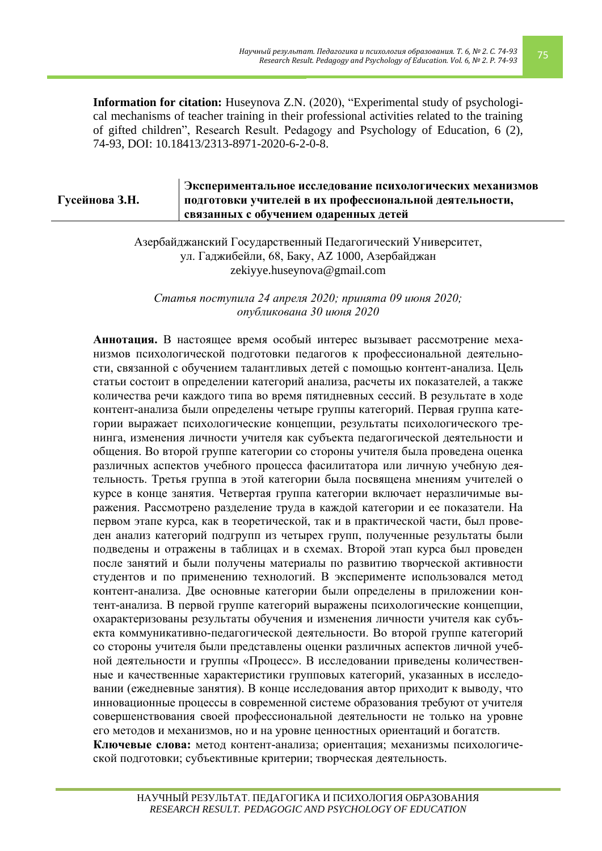**Information for citation:** Huseynova Z.N. (2020), "Experimental study of psychological mechanisms of teacher training in their professional activities related to the training of gifted children", Research Result. Pedagogy and Psychology of Education, 6 (2), 74-93, DOI: 10.18413/2313-8971-2020-6-2-0-8.

#### **Гусейнова З.Н. Экспериментальное исследование психологических механизмов подготовки учителей в их профессиональной деятельности, связанных с обучением одаренных детей**

Азербайджанский Государственный Педагогический Университет, ул. Гаджибейли, 68, Баку, AZ 1000, Азербайджан zekiyye.huseynova@gmail.com

*Статья поступила 24 апреля 2020; принята 09 июня 2020; опубликована 30 июня 2020*

**Аннотация.** В настоящее время особый интерес вызывает рассмотрение механизмов психологической подготовки педагогов к профессиональной деятельности, связанной с обучением талантливых детей с помощью контент-анализа. Цель статьи состоит в определении категорий анализа, расчеты их показателей, а также количества речи каждого типа во время пятидневных сессий. В результате в ходе контент-анализа были определены четыре группы категорий. Первая группа категории выражает психологические концепции, результаты психологического тренинга, изменения личности учителя как субъекта педагогической деятельности и общения. Во второй группе категории со стороны учителя была проведена оценка различных аспектов учебного процесса фасилитатора или личную учебную деятельность. Третья группа в этой категории была посвящена мнениям учителей о курсе в конце занятия. Четвертая группа категории включает неразличимые выражения. Рассмотрено разделение труда в каждой категории и ее показатели. На первом этапе курса, как в теоретической, так и в практической части, был проведен анализ категорий подгрупп из четырех групп, полученные результаты были подведены и отражены в таблицах и в схемах. Второй этап курса был проведен после занятий и были получены материалы по развитию творческой активности студентов и по применению технологий. В эксперименте использовался метод контент-анализа. Две основные категории были определены в приложении контент-анализа. В первой группе категорий выражены психологические концепции, охарактеризованы результаты обучения и изменения личности учителя как субъекта коммуникативно-педагогической деятельности. Во второй группе категорий со стороны учителя были представлены оценки различных аспектов личной учебной деятельности и группы «Процесс». В исследовании приведены количественные и качественные характеристики групповых категорий, указанных в исследовании (ежедневные занятия). В конце исследования автор приходит к выводу, что инновационные процессы в современной системе образования требуют от учителя совершенствования своей профессиональной деятельности не только на уровне его методов и механизмов, но и на уровне ценностных ориентаций и богатств. **Ключевые слова:** метод контент-анализа; ориентация; механизмы психологической подготовки; субъективные критерии; творческая деятельность.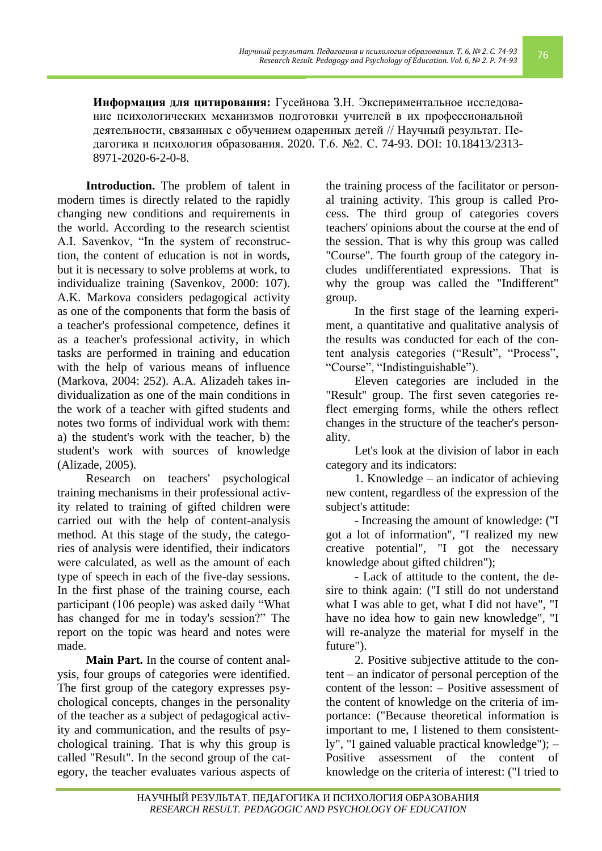**Информация для цитирования:** Гусейнова З.Н. Экспериментальное исследование психологических механизмов подготовки учителей в их профессиональной деятельности, связанных с обучением одаренных детей // Научный результат. Педагогика и психология образования. 2020. Т.6. №2. С. 74-93. DOI: 10.18413/2313- 8971-2020-6-2-0-8.

**Introduction.** The problem of talent in modern times is directly related to the rapidly changing new conditions and requirements in the world. According to the research scientist A.I. Savenkov, "In the system of reconstruction, the content of education is not in words, but it is necessary to solve problems at work, to individualize training (Savenkov, 2000: 107). A.K. Markova considers pedagogical activity as one of the components that form the basis of a teacher's professional competence, defines it as a teacher's professional activity, in which tasks are performed in training and education with the help of various means of influence (Markova, 2004: 252). A.A. Alizadeh takes individualization as one of the main conditions in the work of a teacher with gifted students and notes two forms of individual work with them: a) the student's work with the teacher, b) the student's work with sources of knowledge (Alizade, 2005).

Research on teachers' psychological training mechanisms in their professional activity related to training of gifted children were carried out with the help of content-analysis method. At this stage of the study, the categories of analysis were identified, their indicators were calculated, as well as the amount of each type of speech in each of the five-day sessions. In the first phase of the training course, each participant (106 people) was asked daily "What has changed for me in today's session?" The report on the topic was heard and notes were made.

**Main Part.** In the course of content analysis, four groups of categories were identified. The first group of the category expresses psychological concepts, changes in the personality of the teacher as a subject of pedagogical activity and communication, and the results of psychological training. That is why this group is called "Result". In the second group of the category, the teacher evaluates various aspects of

the training process of the facilitator or personal training activity. This group is called Process. The third group of categories covers teachers' opinions about the course at the end of the session. That is why this group was called "Course". The fourth group of the category includes undifferentiated expressions. That is why the group was called the "Indifferent" group.

In the first stage of the learning experiment, a quantitative and qualitative analysis of the results was conducted for each of the content analysis categories ("Result", "Process", "Course", "Indistinguishable").

Eleven categories are included in the "Result" group. The first seven categories reflect emerging forms, while the others reflect changes in the structure of the teacher's personality.

Let's look at the division of labor in each category and its indicators:

1. Knowledge – an indicator of achieving new content, regardless of the expression of the subject's attitude:

- Increasing the amount of knowledge: ("I got a lot of information", "I realized my new creative potential", "I got the necessary knowledge about gifted children");

- Lack of attitude to the content, the desire to think again: ("I still do not understand what I was able to get, what I did not have", "I have no idea how to gain new knowledge", "I will re-analyze the material for myself in the future").

2. Positive subjective attitude to the content – an indicator of personal perception of the content of the lesson: – Positive assessment of the content of knowledge on the criteria of importance: ("Because theoretical information is important to me, I listened to them consistently", "I gained valuable practical knowledge"); – Positive assessment of the content of knowledge on the criteria of interest: ("I tried to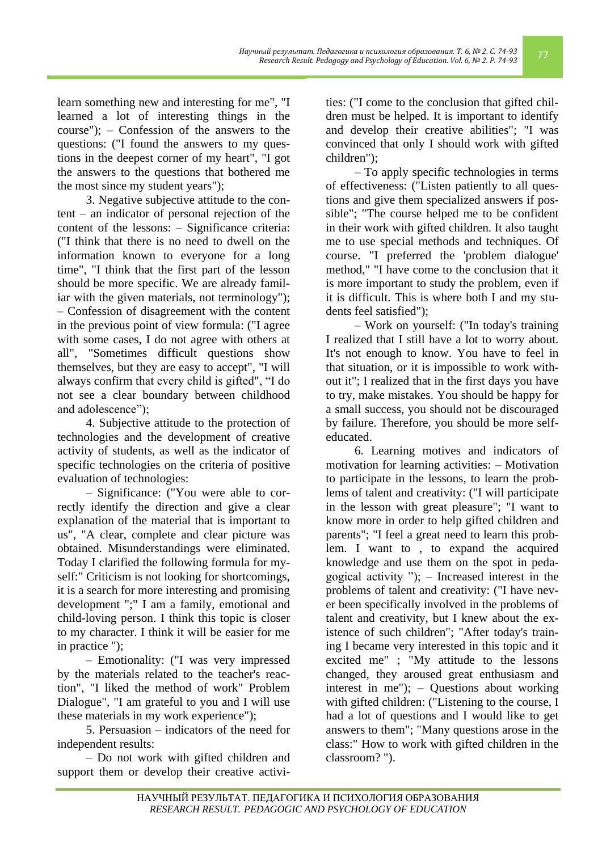learn something new and interesting for me", "I learned a lot of interesting things in the course"); – Confession of the answers to the questions: ("I found the answers to my questions in the deepest corner of my heart", "I got the answers to the questions that bothered me the most since my student years");

3. Negative subjective attitude to the content – an indicator of personal rejection of the content of the lessons: – Significance criteria: ("I think that there is no need to dwell on the information known to everyone for a long time", "I think that the first part of the lesson should be more specific. We are already familiar with the given materials, not terminology"); – Confession of disagreement with the content in the previous point of view formula: ("I agree with some cases, I do not agree with others at all", "Sometimes difficult questions show themselves, but they are easy to accept", "I will always confirm that every child is gifted", "I do not see a clear boundary between childhood and adolescence");

4. Subjective attitude to the protection of technologies and the development of creative activity of students, as well as the indicator of specific technologies on the criteria of positive evaluation of technologies:

– Significance: ("You were able to correctly identify the direction and give a clear explanation of the material that is important to us", "A clear, complete and clear picture was obtained. Misunderstandings were eliminated. Today I clarified the following formula for myself:" Criticism is not looking for shortcomings, it is a search for more interesting and promising development ";" I am a family, emotional and child-loving person. I think this topic is closer to my character. I think it will be easier for me in practice ");

– Emotionality: ("I was very impressed by the materials related to the teacher's reaction", "I liked the method of work" Problem Dialogue", "I am grateful to you and I will use these materials in my work experience");

5. Persuasion – indicators of the need for independent results:

– Do not work with gifted children and support them or develop their creative activi-

ties: ("I come to the conclusion that gifted children must be helped. It is important to identify and develop their creative abilities"; "I was convinced that only I should work with gifted children");

– To apply specific technologies in terms of effectiveness: ("Listen patiently to all questions and give them specialized answers if possible"; "The course helped me to be confident in their work with gifted children. It also taught me to use special methods and techniques. Of course. "I preferred the 'problem dialogue' method," "I have come to the conclusion that it is more important to study the problem, even if it is difficult. This is where both I and my students feel satisfied");

– Work on yourself: ("In today's training I realized that I still have a lot to worry about. It's not enough to know. You have to feel in that situation, or it is impossible to work without it"; I realized that in the first days you have to try, make mistakes. You should be happy for a small success, you should not be discouraged by failure. Therefore, you should be more selfeducated.

6. Learning motives and indicators of motivation for learning activities: – Motivation to participate in the lessons, to learn the problems of talent and creativity: ("I will participate in the lesson with great pleasure"; "I want to know more in order to help gifted children and parents"; "I feel a great need to learn this problem. I want to , to expand the acquired knowledge and use them on the spot in pedagogical activity  $"$ ); – Increased interest in the problems of talent and creativity: ("I have never been specifically involved in the problems of talent and creativity, but I knew about the existence of such children"; "After today's training I became very interested in this topic and it excited me" ; "My attitude to the lessons changed, they aroused great enthusiasm and interest in me"); – Questions about working with gifted children: ("Listening to the course, I had a lot of questions and I would like to get answers to them"; "Many questions arose in the class:" How to work with gifted children in the classroom? ").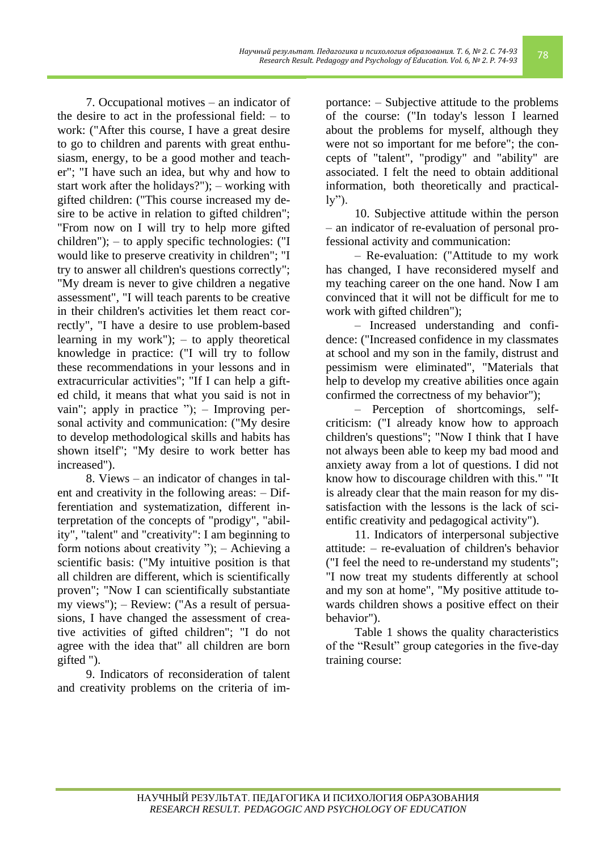7. Occupational motives – an indicator of the desire to act in the professional field: – to work: ("After this course, I have a great desire to go to children and parents with great enthusiasm, energy, to be a good mother and teacher"; "I have such an idea, but why and how to start work after the holidays?"); – working with gifted children: ("This course increased my desire to be active in relation to gifted children"; "From now on I will try to help more gifted children"); – to apply specific technologies: ("I would like to preserve creativity in children"; "I try to answer all children's questions correctly"; "My dream is never to give children a negative assessment", "I will teach parents to be creative in their children's activities let them react correctly", "I have a desire to use problem-based learning in my work"); – to apply theoretical knowledge in practice: ("I will try to follow these recommendations in your lessons and in extracurricular activities"; "If I can help a gifted child, it means that what you said is not in vain"; apply in practice "); – Improving personal activity and communication: ("My desire to develop methodological skills and habits has shown itself"; "My desire to work better has increased").

8. Views – an indicator of changes in talent and creativity in the following areas: – Differentiation and systematization, different interpretation of the concepts of "prodigy", "ability", "talent" and "creativity": I am beginning to form notions about creativity "); – Achieving a scientific basis: ("My intuitive position is that all children are different, which is scientifically proven"; "Now I can scientifically substantiate my views"); – Review: ("As a result of persuasions, I have changed the assessment of creative activities of gifted children"; "I do not agree with the idea that" all children are born gifted ").

9. Indicators of reconsideration of talent and creativity problems on the criteria of im-

portance: – Subjective attitude to the problems of the course: ("In today's lesson I learned about the problems for myself, although they were not so important for me before"; the concepts of "talent", "prodigy" and "ability" are associated. I felt the need to obtain additional information, both theoretically and practical- $\mathbf{y}$ ").

10. Subjective attitude within the person – an indicator of re-evaluation of personal professional activity and communication:

– Re-evaluation: ("Attitude to my work has changed, I have reconsidered myself and my teaching career on the one hand. Now I am convinced that it will not be difficult for me to work with gifted children");

– Increased understanding and confidence: ("Increased confidence in my classmates at school and my son in the family, distrust and pessimism were eliminated", "Materials that help to develop my creative abilities once again confirmed the correctness of my behavior");

– Perception of shortcomings, selfcriticism: ("I already know how to approach children's questions"; "Now I think that I have not always been able to keep my bad mood and anxiety away from a lot of questions. I did not know how to discourage children with this." "It is already clear that the main reason for my dissatisfaction with the lessons is the lack of scientific creativity and pedagogical activity").

11. Indicators of interpersonal subjective attitude: – re-evaluation of children's behavior ("I feel the need to re-understand my students"; "I now treat my students differently at school and my son at home", "My positive attitude towards children shows a positive effect on their behavior").

Table 1 shows the quality characteristics of the "Result" group categories in the five-day training course: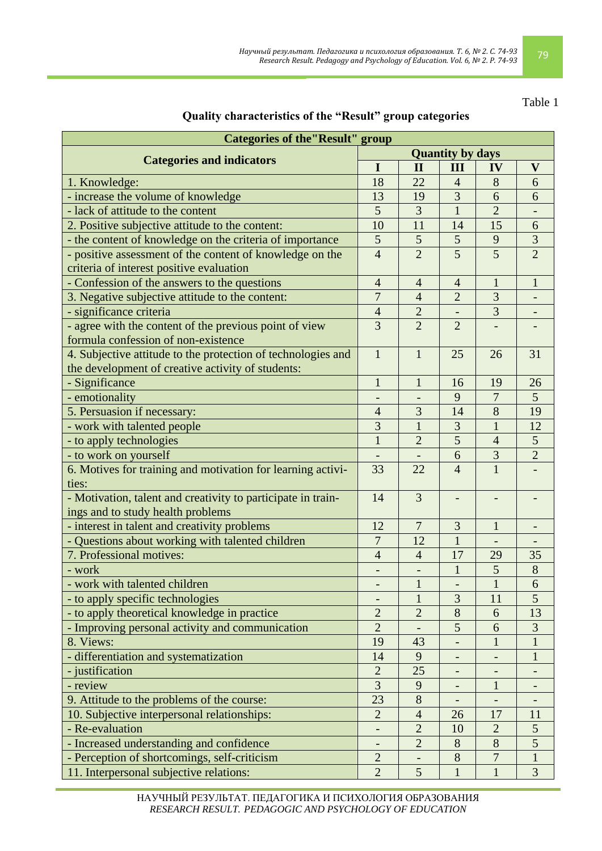# Table 1

## **Quality characteristics of the "Result" group categories**

| <b>Categories of the 'Result' group</b>                      |                |                         |                |                |                           |  |
|--------------------------------------------------------------|----------------|-------------------------|----------------|----------------|---------------------------|--|
| <b>Categories and indicators</b>                             |                | <b>Quantity by days</b> |                |                |                           |  |
|                                                              |                | $\mathbf{I}$            | III            | IV             | $\boldsymbol{\mathrm{V}}$ |  |
| 1. Knowledge:                                                | 18             | 22                      | $\overline{4}$ | 8              | 6                         |  |
| - increase the volume of knowledge                           | 13             | 19                      | 3              | 6              | 6                         |  |
| - lack of attitude to the content                            | 5              | 3                       | $\mathbf{1}$   | $\overline{2}$ |                           |  |
| 2. Positive subjective attitude to the content:              | 10             | 11                      | 14             | 15             | 6                         |  |
| - the content of knowledge on the criteria of importance     | 5              | $\mathfrak{S}$          | 5              | 9              | $\overline{\mathbf{3}}$   |  |
| - positive assessment of the content of knowledge on the     | $\overline{4}$ | $\overline{2}$          | $\overline{5}$ | $\overline{5}$ | $\overline{2}$            |  |
| criteria of interest positive evaluation                     |                |                         |                |                |                           |  |
| - Confession of the answers to the questions                 | $\overline{4}$ | $\overline{4}$          | $\overline{4}$ | $\mathbf{1}$   | $\mathbf{1}$              |  |
| 3. Negative subjective attitude to the content:              | $\overline{7}$ | $\overline{4}$          | $\overline{2}$ | 3              |                           |  |
| - significance criteria                                      | $\overline{4}$ | $\overline{2}$          |                | 3              |                           |  |
| - agree with the content of the previous point of view       | $\overline{3}$ | $\overline{2}$          | $\overline{2}$ |                |                           |  |
| formula confession of non-existence                          |                |                         |                |                |                           |  |
| 4. Subjective attitude to the protection of technologies and | $\mathbf{1}$   | $\mathbf{1}$            | 25             | 26             | 31                        |  |
| the development of creative activity of students:            |                |                         |                |                |                           |  |
| - Significance                                               | $\mathbf{1}$   | $\mathbf{1}$            | 16             | 19             | 26                        |  |
| - emotionality                                               |                |                         | 9              | $\overline{7}$ | 5                         |  |
| 5. Persuasion if necessary:                                  | $\overline{4}$ | 3                       | 14             | 8              | 19                        |  |
| - work with talented people                                  | 3              | $\mathbf{1}$            | 3              | $\mathbf{1}$   | 12                        |  |
| - to apply technologies                                      | $\mathbf{1}$   | $\overline{2}$          | 5              | $\overline{4}$ | 5 <sup>5</sup>            |  |
| - to work on yourself                                        |                |                         | 6              | 3              | $\overline{2}$            |  |
| 6. Motives for training and motivation for learning activi-  | 33             | 22                      | $\overline{4}$ | $\overline{1}$ |                           |  |
| ties:                                                        |                |                         |                |                |                           |  |
| - Motivation, talent and creativity to participate in train- | 14             | 3                       |                |                |                           |  |
| ings and to study health problems                            |                |                         |                |                |                           |  |
| - interest in talent and creativity problems                 | 12             | $\overline{7}$          | $\overline{3}$ | $\mathbf{1}$   |                           |  |
| - Questions about working with talented children             | $\overline{7}$ | 12                      | $\mathbf{1}$   |                |                           |  |
| 7. Professional motives:                                     | $\overline{4}$ | $\overline{4}$          | 17             | 29             | 35                        |  |
| - work                                                       |                | $\qquad \qquad -$       | $\mathbf{1}$   | 5              | $8\,$                     |  |
| - work with talented children                                |                | $\mathbf 1$             |                | $\mathbf 1$    | 6                         |  |
| - to apply specific technologies                             |                | $\mathbf{1}$            | 3              | 11             | 5                         |  |
| - to apply theoretical knowledge in practice                 | $\overline{2}$ | $\overline{2}$          | 8              | 6              | 13                        |  |
| - Improving personal activity and communication              | $\overline{2}$ |                         | 5              | 6              | 3                         |  |
| 8. Views:                                                    | 19             | 43                      |                |                |                           |  |
| - differentiation and systematization                        | 14             | 9                       |                |                | 1                         |  |
| - justification                                              | $\overline{c}$ | 25                      |                |                |                           |  |
| - review                                                     | 3              | 9                       |                | $\mathbf{1}$   |                           |  |
| 9. Attitude to the problems of the course:                   | 23             | 8                       |                |                |                           |  |
| 10. Subjective interpersonal relationships:                  | $\overline{2}$ | $\overline{4}$          | 26             | 17             | 11                        |  |
| - Re-evaluation                                              |                | $\overline{2}$          | 10             | $\overline{2}$ | 5 <sup>5</sup>            |  |
| - Increased understanding and confidence                     |                | $\overline{2}$          | 8              | 8              | 5                         |  |
| - Perception of shortcomings, self-criticism                 | $\overline{2}$ |                         | 8              | $\overline{7}$ | 1                         |  |
| 11. Interpersonal subjective relations:                      | $\overline{2}$ | 5                       | $\mathbf{1}$   | $\mathbf{1}$   | 3                         |  |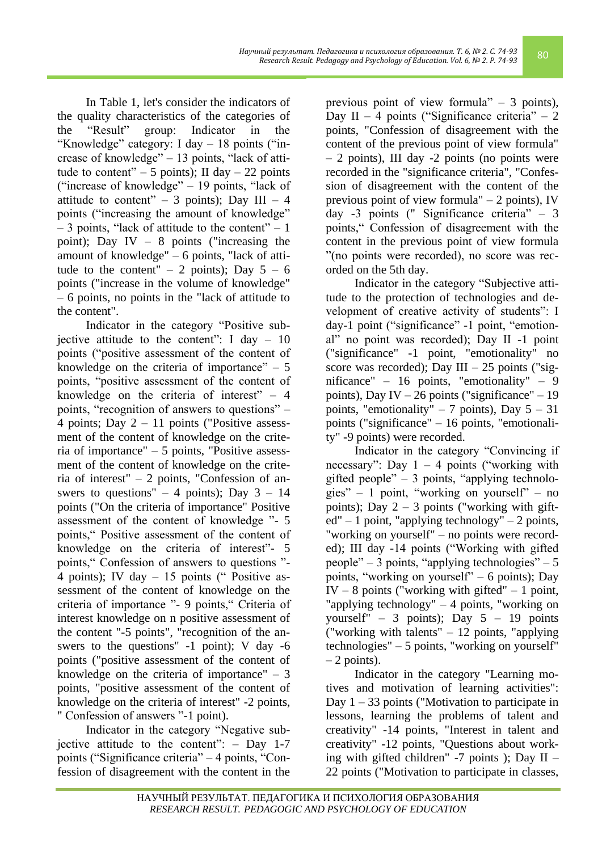In Table 1, let's consider the indicators of the quality characteristics of the categories of the "Result" group: Indicator in the "Knowledge" category: I day – 18 points ("increase of knowledge" – 13 points, "lack of attitude to content" – 5 points); II day – 22 points ("increase of knowledge" – 19 points, "lack of attitude to content" – 3 points); Day III – 4 points ("increasing the amount of knowledge"  $-3$  points, "lack of attitude to the content"  $-1$ point); Day IV – 8 points ("increasing the amount of knowledge" – 6 points, "lack of attitude to the content" – 2 points); Day  $5 - 6$ points ("increase in the volume of knowledge" – 6 points, no points in the "lack of attitude to the content".

Indicator in the category "Positive subjective attitude to the content": I day  $-10$ points ("positive assessment of the content of knowledge on the criteria of importance"  $-5$ points, "positive assessment of the content of knowledge on the criteria of interest"  $-4$ points, "recognition of answers to questions" – 4 points; Day  $2 - 11$  points ("Positive assessment of the content of knowledge on the criteria of importance" – 5 points, "Positive assessment of the content of knowledge on the criteria of interest" – 2 points, "Confession of answers to questions" – 4 points); Day  $3 - 14$ points ("On the criteria of importance" Positive assessment of the content of knowledge "- 5 points," Positive assessment of the content of knowledge on the criteria of interest"- 5 points," Confession of answers to questions "- 4 points); IV day – 15 points (" Positive assessment of the content of knowledge on the criteria of importance "- 9 points," Criteria of interest knowledge on n positive assessment of the content "-5 points", "recognition of the answers to the questions" -1 point); V day -6 points ("positive assessment of the content of knowledge on the criteria of importance"  $-3$ points, "positive assessment of the content of knowledge on the criteria of interest" -2 points, " Confession of answers "-1 point).

Indicator in the category "Negative subjective attitude to the content": – Day 1-7 points ("Significance criteria" – 4 points, "Confession of disagreement with the content in the

previous point of view formula" – 3 points), Day II – 4 points ("Significance criteria" – 2 points, "Confession of disagreement with the content of the previous point of view formula" – 2 points), III day -2 points (no points were recorded in the "significance criteria", "Confession of disagreement with the content of the previous point of view formula" – 2 points), IV day -3 points (" Significance criteria" – 3 points," Confession of disagreement with the content in the previous point of view formula "(no points were recorded), no score was recorded on the 5th day.

Indicator in the category "Subjective attitude to the protection of technologies and development of creative activity of students": I day-1 point ("significance" -1 point, "emotional" no point was recorded); Day II -1 point ("significance" -1 point, "emotionality" no score was recorded); Day III – 25 points ("significance" – 16 points, "emotionality" – 9 points), Day IV – 26 points ("significance" – 19 points, "emotionality" – 7 points), Day  $5 - 31$ points ("significance" – 16 points, "emotionality" -9 points) were recorded.

Indicator in the category "Convincing if necessary": Day  $1 - 4$  points ("working with gifted people" – 3 points, "applying technologies" – 1 point, "working on yourself" – no points); Day  $2 - 3$  points ("working with gift $ed'' – 1$  point, "applying technology"  $-2$  points, "working on yourself" – no points were recorded); III day -14 points ("Working with gifted people" – 3 points, "applying technologies" – 5 points, "working on yourself" – 6 points); Day IV – 8 points ("working with gifted" – 1 point, "applying technology" – 4 points, "working on yourself" – 3 points); Day  $5 - 19$  points ("working with talents" – 12 points, "applying technologies" – 5 points, "working on yourself"  $-2$  points).

Indicator in the category "Learning motives and motivation of learning activities": Day  $1 - 33$  points ("Motivation to participate in lessons, learning the problems of talent and creativity" -14 points, "Interest in talent and creativity" -12 points, "Questions about working with gifted children"  $-7$  points ); Day II – 22 points ("Motivation to participate in classes,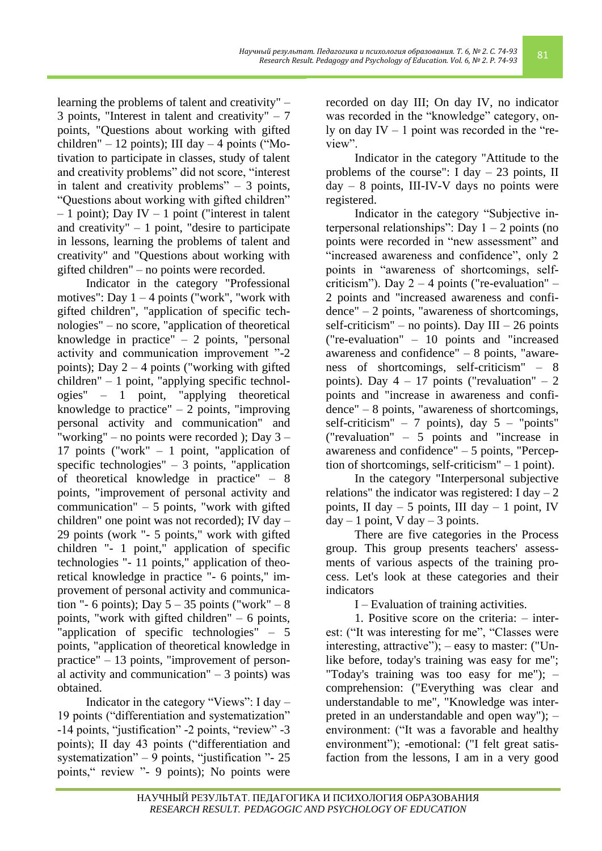*Научный результат. Педагогика и психология образования. Т. 6, № 2. С. 74-93 Research Result. Pedazozuka и психология образования. Т. 6, № 2. С. 74-93* 81<br>Research Result. Pedagogy and Psychology of Education. Vol. 6, № 2. P. 74-93

learning the problems of talent and creativity" – 3 points, "Interest in talent and creativity"  $-7$ points, "Questions about working with gifted children" – 12 points); III day – 4 points ("Motivation to participate in classes, study of talent and creativity problems" did not score, "interest in talent and creativity problems" – 3 points, "Questions about working with gifted children"  $-1$  point); Day IV  $-1$  point ("interest in talent and creativity"  $-1$  point, "desire to participate in lessons, learning the problems of talent and creativity" and "Questions about working with gifted children" – no points were recorded.

Indicator in the category "Professional motives": Day  $1 - 4$  points ("work", "work with gifted children", "application of specific technologies" – no score, "application of theoretical knowledge in practice" – 2 points, "personal activity and communication improvement "-2 points); Day  $2 - 4$  points ("working with gifted children" – 1 point, "applying specific technologies" – 1 point, "applying theoretical knowledge to practice"  $-2$  points, "improving personal activity and communication" and "working" – no points were recorded ); Day 3 – 17 points ("work" – 1 point, "application of specific technologies"  $-3$  points, "application" of theoretical knowledge in practice" – 8 points, "improvement of personal activity and communication"  $-5$  points, "work with gifted children" one point was not recorded); IV day – 29 points (work "- 5 points," work with gifted children "- 1 point," application of specific technologies "- 11 points," application of theoretical knowledge in practice "- 6 points," improvement of personal activity and communication "- 6 points); Day  $5 - 35$  points ("work" – 8 points, "work with gifted children" – 6 points, "application of specific technologies" – 5 points, "application of theoretical knowledge in practice" – 13 points, "improvement of personal activity and communication"  $-3$  points) was obtained.

Indicator in the category "Views": I day – 19 points ("differentiation and systematization" -14 points, "justification" -2 points, "review" -3 points); II day 43 points ("differentiation and systematization" – 9 points, "justification "- 25 points," review "- 9 points); No points were

recorded on day III; On day IV, no indicator was recorded in the "knowledge" category, only on day  $IV - 1$  point was recorded in the "review".

Indicator in the category "Attitude to the problems of the course": I day  $-23$  points, II  $day - 8$  points, III-IV-V days no points were registered.

Indicator in the category "Subjective interpersonal relationships": Day  $1 - 2$  points (no points were recorded in "new assessment" and "increased awareness and confidence", only 2 points in "awareness of shortcomings, selfcriticism"). Day  $2 - 4$  points ("re-evaluation" – 2 points and "increased awareness and confidence" – 2 points, "awareness of shortcomings, self-criticism" – no points). Day  $III - 26$  points ("re-evaluation" – 10 points and "increased awareness and confidence" – 8 points, "awareness of shortcomings, self-criticism" – 8 points). Day  $4 - 17$  points ("revaluation"  $-2$ points and "increase in awareness and confidence" – 8 points, "awareness of shortcomings, self-criticism" – 7 points), day  $5 -$  "points" ("revaluation"  $-5$  points and "increase in awareness and confidence" – 5 points, "Perception of shortcomings, self-criticism" – 1 point).

In the category "Interpersonal subjective relations" the indicator was registered: I day  $-2$ points, II day  $-5$  points, III day  $-1$  point, IV  $day - 1$  point, V day  $-3$  points.

There are five categories in the Process group. This group presents teachers' assessments of various aspects of the training process. Let's look at these categories and their indicators

I – Evaluation of training activities.

1. Positive score on the criteria: – interest: ("It was interesting for me", "Classes were interesting, attractive"); – easy to master: ("Unlike before, today's training was easy for me"; "Today's training was too easy for me"); – comprehension: ("Everything was clear and understandable to me", "Knowledge was interpreted in an understandable and open way"); – environment: ("It was a favorable and healthy environment"); -emotional: ("I felt great satisfaction from the lessons, I am in a very good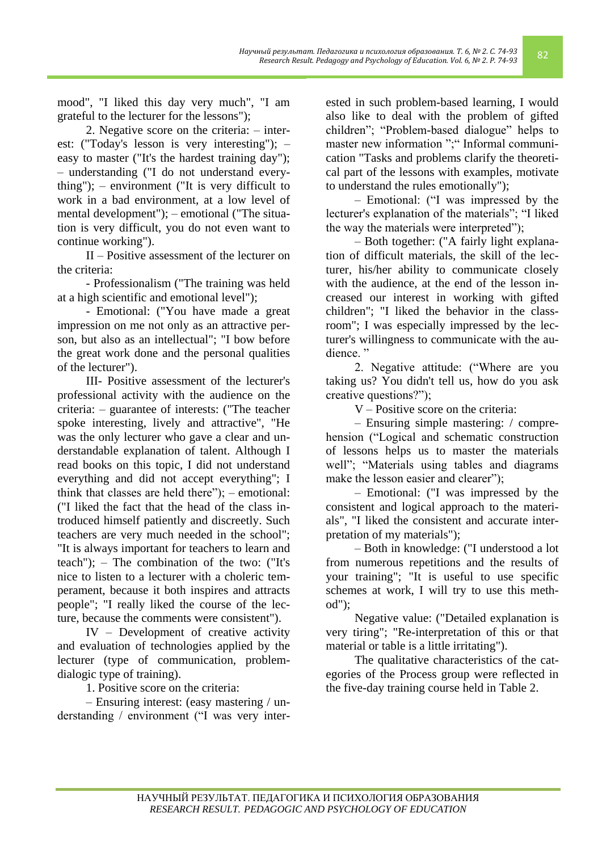mood", "I liked this day very much", "I am grateful to the lecturer for the lessons");

2. Negative score on the criteria: – interest: ("Today's lesson is very interesting"); – easy to master ("It's the hardest training day"); – understanding ("I do not understand everything"); – environment ("It is very difficult to work in a bad environment, at a low level of mental development"); – emotional ("The situation is very difficult, you do not even want to continue working").

II – Positive assessment of the lecturer on the criteria:

- Professionalism ("The training was held at a high scientific and emotional level");

- Emotional: ("You have made a great impression on me not only as an attractive person, but also as an intellectual"; "I bow before the great work done and the personal qualities of the lecturer").

III- Positive assessment of the lecturer's professional activity with the audience on the criteria: – guarantee of interests: ("The teacher spoke interesting, lively and attractive", "He was the only lecturer who gave a clear and understandable explanation of talent. Although I read books on this topic, I did not understand everything and did not accept everything"; I think that classes are held there"); – emotional: ("I liked the fact that the head of the class introduced himself patiently and discreetly. Such teachers are very much needed in the school"; "It is always important for teachers to learn and teach"); – The combination of the two: ("It's nice to listen to a lecturer with a choleric temperament, because it both inspires and attracts people"; "I really liked the course of the lecture, because the comments were consistent").

IV – Development of creative activity and evaluation of technologies applied by the lecturer (type of communication, problemdialogic type of training).

1. Positive score on the criteria:

– Ensuring interest: (easy mastering / understanding / environment ("I was very interested in such problem-based learning, I would also like to deal with the problem of gifted children"; "Problem-based dialogue" helps to master new information ";" Informal communication "Tasks and problems clarify the theoretical part of the lessons with examples, motivate to understand the rules emotionally");

– Emotional: ("I was impressed by the lecturer's explanation of the materials"; "I liked the way the materials were interpreted");

– Both together: ("A fairly light explanation of difficult materials, the skill of the lecturer, his/her ability to communicate closely with the audience, at the end of the lesson increased our interest in working with gifted children"; "I liked the behavior in the classroom"; I was especially impressed by the lecturer's willingness to communicate with the audience<sup>"</sup>

2. Negative attitude: ("Where are you taking us? You didn't tell us, how do you ask creative questions?");

V – Positive score on the criteria:

– Ensuring simple mastering: / comprehension ("Logical and schematic construction of lessons helps us to master the materials well"; "Materials using tables and diagrams make the lesson easier and clearer");

– Emotional: ("I was impressed by the consistent and logical approach to the materials", "I liked the consistent and accurate interpretation of my materials");

– Both in knowledge: ("I understood a lot from numerous repetitions and the results of your training"; "It is useful to use specific schemes at work, I will try to use this method");

Negative value: ("Detailed explanation is very tiring"; "Re-interpretation of this or that material or table is a little irritating").

The qualitative characteristics of the categories of the Process group were reflected in the five-day training course held in Table 2.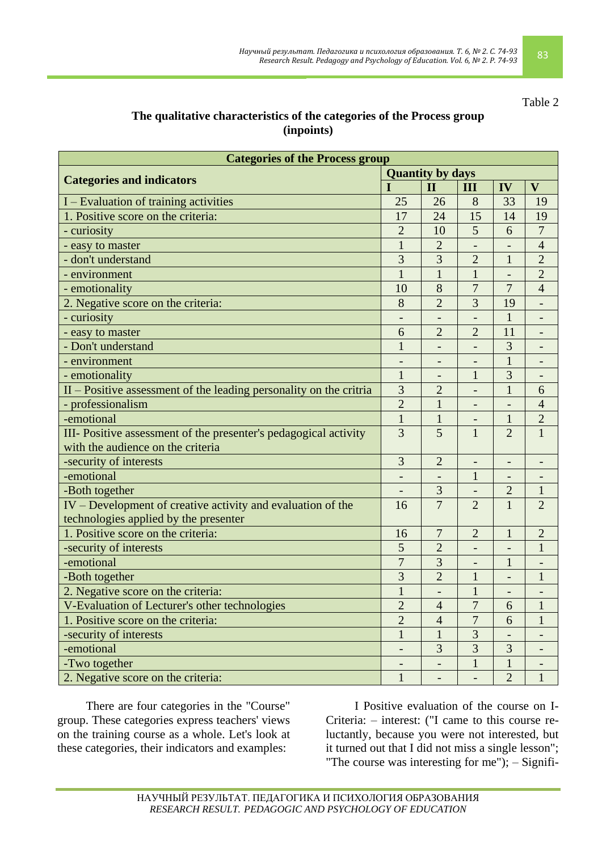#### Table 2

## **The qualitative characteristics of the categories of the Process group (inpoints)**

| <b>Categories of the Process group</b>                               |                |                          |                            |                          |                |  |
|----------------------------------------------------------------------|----------------|--------------------------|----------------------------|--------------------------|----------------|--|
| <b>Categories and indicators</b>                                     |                | <b>Quantity by days</b>  |                            |                          |                |  |
|                                                                      |                | $\mathbf{I}$             | III                        | IV                       | $\mathbf{V}$   |  |
| I – Evaluation of training activities                                | 25             | 26                       | 8                          | 33                       | 19             |  |
| 1. Positive score on the criteria:                                   | 17             | 24                       | 15                         | 14                       | 19             |  |
| - curiosity                                                          | $\overline{2}$ | 10                       | 5                          | 6                        | $\overline{7}$ |  |
| - easy to master                                                     | $\mathbf{1}$   | $\overline{2}$           |                            |                          | $\overline{4}$ |  |
| - don't understand                                                   | 3              | $\overline{3}$           | $\overline{2}$             | $\mathbf{1}$             | $\overline{2}$ |  |
| - environment                                                        | $\mathbf{1}$   | $\mathbf{1}$             | $\mathbf{1}$               | $\overline{\phantom{a}}$ | $\overline{2}$ |  |
| - emotionality                                                       | 10             | 8                        | $\overline{7}$             | 7                        | $\overline{4}$ |  |
| 2. Negative score on the criteria:                                   | 8              | $\overline{2}$           | 3                          | 19                       |                |  |
| - curiosity                                                          |                |                          |                            | $\mathbf{1}$             |                |  |
| - easy to master                                                     | 6              | $\overline{2}$           | $\overline{2}$             | 11                       |                |  |
| - Don't understand                                                   | $\mathbf{1}$   | $\qquad \qquad -$        | $\overline{\phantom{0}}$   | 3                        |                |  |
| - environment                                                        |                |                          |                            | $\mathbf{1}$             |                |  |
| - emotionality                                                       | $\mathbf{1}$   | $\overline{\phantom{a}}$ | $\mathbf{1}$               | $\overline{3}$           |                |  |
| $II - Positive assessment of the leading personality on the critria$ | 3              | $\overline{2}$           |                            | $\mathbf{1}$             | 6              |  |
| - professionalism                                                    | $\overline{2}$ | $\overline{1}$           | $\overline{\phantom{0}}$   |                          | $\overline{4}$ |  |
| -emotional                                                           | $\mathbf{1}$   | $\mathbf{1}$             | $\overline{\phantom{0}}$   | $\mathbf{1}$             | $\overline{2}$ |  |
| III- Positive assessment of the presenter's pedagogical activity     | 3              | 5                        | $\mathbf{1}$               | $\overline{2}$           | $\mathbf{1}$   |  |
| with the audience on the criteria                                    |                |                          |                            |                          |                |  |
| -security of interests                                               | 3              | $\overline{2}$           | $\qquad \qquad -$          | $\qquad \qquad -$        |                |  |
| -emotional                                                           |                |                          | $\mathbf{1}$               |                          |                |  |
| -Both together                                                       |                | $\overline{3}$           |                            | $\overline{2}$           | $\mathbf{1}$   |  |
| IV – Development of creative activity and evaluation of the          | 16             | $\overline{7}$           | $\overline{2}$             | $\mathbf{1}$             | $\overline{2}$ |  |
| technologies applied by the presenter                                |                |                          |                            |                          |                |  |
| 1. Positive score on the criteria:                                   | 16             | 7                        | $\overline{2}$             | $\mathbf{1}$             | $\overline{2}$ |  |
| -security of interests                                               | 5              | $\overline{2}$           |                            |                          | $\mathbf{1}$   |  |
| -emotional                                                           | 7              | $\overline{3}$           | $\overline{\phantom{0}}$   | $\mathbf{1}$             |                |  |
| -Both together                                                       | 3              | $\overline{2}$           | 1                          | $\overline{a}$           | 1              |  |
| 2. Negative score on the criteria:                                   | $\mathbf{1}$   | $\overline{\phantom{0}}$ | $\mathbf{1}$               |                          |                |  |
| V-Evaluation of Lecturer's other technologies                        | $\overline{2}$ | $\overline{4}$           | $\overline{u}$<br>$\prime$ | 6                        | $\mathbf{I}$   |  |
| 1. Positive score on the criteria:                                   | $\overline{2}$ | $\overline{4}$           | $\overline{7}$             | 6                        | $\mathbf{1}$   |  |
| -security of interests                                               | $\mathbf{1}$   | $\mathbf{1}$             | 3                          |                          |                |  |
| -emotional                                                           |                | 3                        | 3                          | $\mathfrak{Z}$           |                |  |
| -Two together                                                        |                |                          | $\mathbf{1}$               | 1                        |                |  |
| 2. Negative score on the criteria:                                   | $\mathbf{1}$   | $\overline{\phantom{0}}$ | $\overline{\phantom{0}}$   | $\overline{2}$           | $\mathbf 1$    |  |

There are four categories in the "Course" group. These categories express teachers' views on the training course as a whole. Let's look at these categories, their indicators and examples:

I Positive evaluation of the course on I-Criteria: – interest: ("I came to this course reluctantly, because you were not interested, but it turned out that I did not miss a single lesson"; "The course was interesting for me");  $-$  Signifi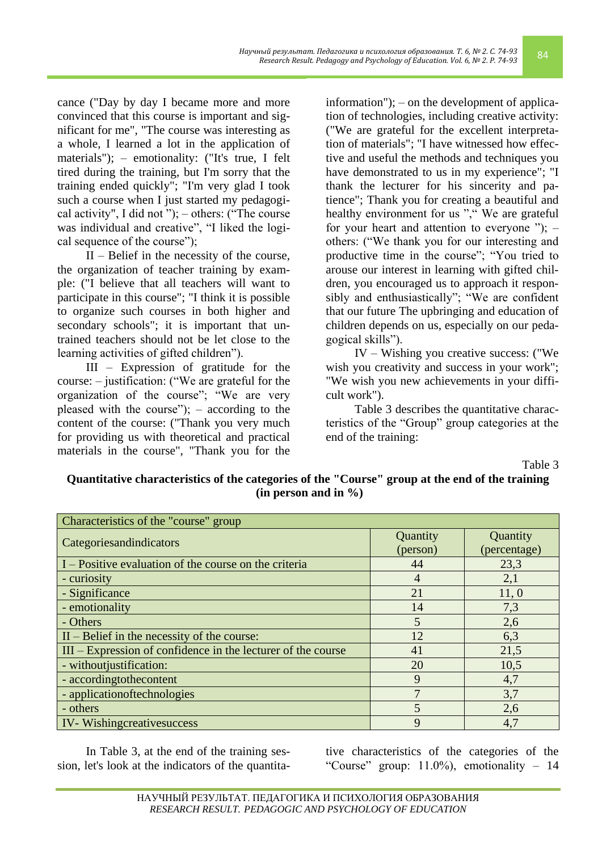cance ("Day by day I became more and more convinced that this course is important and significant for me", "The course was interesting as a whole, I learned a lot in the application of materials"); – emotionality: ("It's true, I felt tired during the training, but I'm sorry that the training ended quickly"; "I'm very glad I took such a course when I just started my pedagogical activity", I did not ");  $-$  others: ("The course was individual and creative", "I liked the logical sequence of the course");

II – Belief in the necessity of the course, the organization of teacher training by example: ("I believe that all teachers will want to participate in this course"; "I think it is possible to organize such courses in both higher and secondary schools"; it is important that untrained teachers should not be let close to the learning activities of gifted children").

III – Expression of gratitude for the course: – justification: ("We are grateful for the organization of the course"; "We are very pleased with the course"); – according to the content of the course: ("Thank you very much for providing us with theoretical and practical materials in the course", "Thank you for the

information"); – on the development of application of technologies, including creative activity: ("We are grateful for the excellent interpretation of materials"; "I have witnessed how effective and useful the methods and techniques you have demonstrated to us in my experience"; "I thank the lecturer for his sincerity and patience"; Thank you for creating a beautiful and healthy environment for us "," We are grateful for your heart and attention to everyone ");  $$ others: ("We thank you for our interesting and productive time in the course"; "You tried to arouse our interest in learning with gifted children, you encouraged us to approach it responsibly and enthusiastically"; "We are confident that our future The upbringing and education of children depends on us, especially on our pedagogical skills").

IV – Wishing you creative success: ("We wish you creativity and success in your work"; "We wish you new achievements in your difficult work").

Table 3 describes the quantitative characteristics of the "Group" group categories at the end of the training:

Table 3

**Quantitative characteristics of the categories of the "Course" group at the end of the training (in person and in %)**

| Characteristics of the "course" group                          |                      |                          |  |  |  |
|----------------------------------------------------------------|----------------------|--------------------------|--|--|--|
| Categoriesandindicators                                        | Quantity<br>(person) | Quantity<br>(percentage) |  |  |  |
| I – Positive evaluation of the course on the criteria          | 44                   | 23,3                     |  |  |  |
| - curiosity                                                    | 4                    | 2,1                      |  |  |  |
| - Significance                                                 | 21                   | 11,0                     |  |  |  |
| - emotionality                                                 | 14                   | 7,3                      |  |  |  |
| - Others                                                       | 5                    | 2,6                      |  |  |  |
| $II - Belief$ in the necessity of the course:                  | 12                   | 6,3                      |  |  |  |
| $III - Expression$ of confidence in the lecturer of the course | 41                   | 21,5                     |  |  |  |
| - without justification:                                       | 20                   | 10,5                     |  |  |  |
| - accordingtothecontent                                        | 9                    | 4,7                      |  |  |  |
| - application of technologies                                  | 7                    | 3,7                      |  |  |  |
| - others                                                       | 5                    | 2,6                      |  |  |  |
| <b>IV-Wishingcreativesuccess</b>                               | 9                    | 4,7                      |  |  |  |

In Table 3, at the end of the training session, let's look at the indicators of the quantita-

tive characteristics of the categories of the "Course" group: 11.0%), emotionality – 14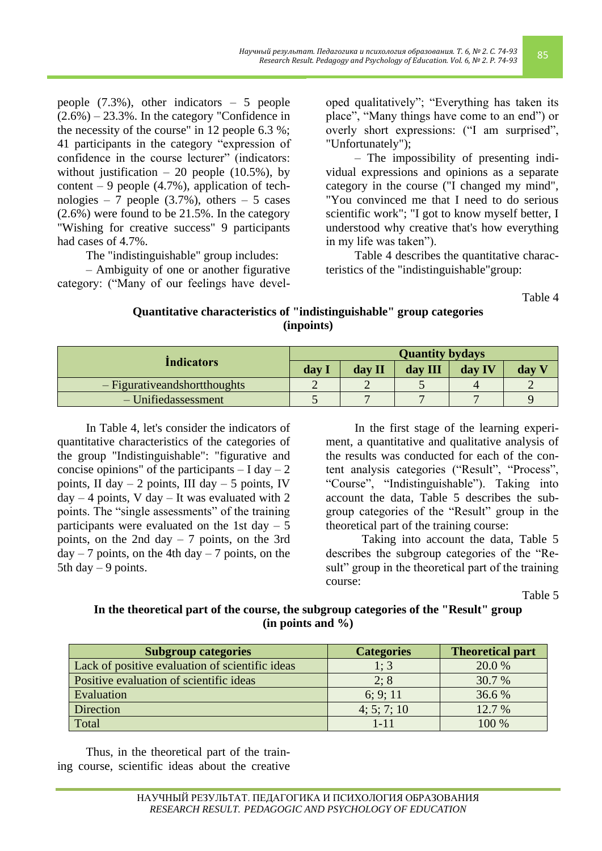people (7.3%), other indicators – 5 people  $(2.6\%) - 23.3\%$ . In the category "Confidence in the necessity of the course" in 12 people 6.3 %; 41 participants in the category "expression of confidence in the course lecturer" (indicators: without justification – 20 people  $(10.5\%)$ , by content – 9 people  $(4.7\%)$ , application of technologies – 7 people  $(3.7\%)$ , others – 5 cases (2.6%) were found to be 21.5%. In the category "Wishing for creative success" 9 participants had cases of 4.7%.

The "indistinguishable" group includes:

– Ambiguity of one or another figurative category: ("Many of our feelings have developed qualitatively"; "Everything has taken its place", "Many things have come to an end") or overly short expressions: ("I am surprised", "Unfortunately");

– The impossibility of presenting individual expressions and opinions as a separate category in the course ("I changed my mind", "You convinced me that I need to do serious scientific work"; "I got to know myself better, I understood why creative that's how everything in my life was taken").

Table 4 describes the quantitative characteristics of the "indistinguishable"group:

Table 4

| (inpoints)                      |       |        |         |        |       |  |  |
|---------------------------------|-------|--------|---------|--------|-------|--|--|
| <b>Quantity bydays</b>          |       |        |         |        |       |  |  |
| <i>Indicators</i>               | day I | day II | day III | day IV | day V |  |  |
| $-$ Figurative and shorthoughts | ↵     | ↵      | ັ       |        |       |  |  |
| $-$ Unifiedassessment           |       |        |         |        |       |  |  |

**Quantitative characteristics of "indistinguishable" group categories (inpoints)**

In Table 4, let's consider the indicators of quantitative characteristics of the categories of the group "Indistinguishable": "figurative and concise opinions" of the participants  $- I day - 2$ points, II day  $-2$  points, III day  $-5$  points, IV  $day - 4$  points, V day  $-$  It was evaluated with 2 points. The "single assessments" of the training participants were evaluated on the 1st day  $-5$ points, on the 2nd day – 7 points, on the 3rd  $day - 7$  points, on the 4th day  $-7$  points, on the 5th day  $-9$  points.

In the first stage of the learning experiment, a quantitative and qualitative analysis of the results was conducted for each of the content analysis categories ("Result", "Process", "Course", "Indistinguishable"). Taking into account the data, Table 5 describes the subgroup categories of the "Result" group in the theoretical part of the training course:

Taking into account the data, Table 5 describes the subgroup categories of the "Result" group in the theoretical part of the training course:

Table 5

#### **In the theoretical part of the course, the subgroup categories of the "Result" group (in points and %)**

| <b>Subgroup categories</b>                      | <b>Categories</b> | <b>Theoretical part</b> |
|-------------------------------------------------|-------------------|-------------------------|
| Lack of positive evaluation of scientific ideas | 1:3               | 20.0 %                  |
| Positive evaluation of scientific ideas         | 2:8               | 30.7 %                  |
| Evaluation                                      | 6: 9: 11          | 36.6 %                  |
| Direction                                       | 4; 5; 7; 10       | 12.7 %                  |
| Total                                           | $1 - 11$          | 100 %                   |

Thus, in the theoretical part of the training course, scientific ideas about the creative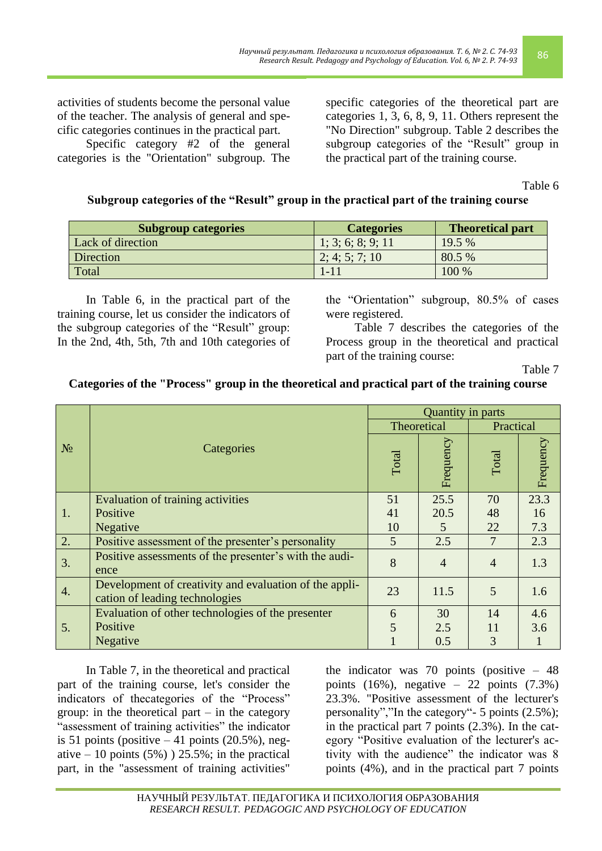activities of students become the personal value of the teacher. The analysis of general and specific categories continues in the practical part.

Specific category #2 of the general categories is the "Orientation" subgroup. The specific categories of the theoretical part are categories 1, 3, 6, 8, 9, 11. Others represent the "No Direction" subgroup. Table 2 describes the subgroup categories of the "Result" group in the practical part of the training course.

Table 6

# **Subgroup categories of the "Result" group in the practical part of the training course**

| <b>Subgroup categories</b> | <b>Categories</b> | <b>Theoretical part</b> |
|----------------------------|-------------------|-------------------------|
| Lack of direction          | 1; 3; 6; 8; 9; 11 | 19.5%                   |
| Direction                  | 2; 4; 5; 7; 10    | 80.5 %                  |
| Total                      | $1 - 11$          | 100 %                   |

In Table 6, in the practical part of the training course, let us consider the indicators of the subgroup categories of the "Result" group: In the 2nd, 4th, 5th, 7th and 10th categories of

the "Orientation" subgroup, 80.5% of cases were registered.

Table 7 describes the categories of the Process group in the theoretical and practical part of the training course:

Table 7

|  | Categories of the "Process" group in the theoretical and practical part of the training course |
|--|------------------------------------------------------------------------------------------------|
|--|------------------------------------------------------------------------------------------------|

|       |                                                                                          |             | Quantity in parts |                |           |
|-------|------------------------------------------------------------------------------------------|-------------|-------------------|----------------|-----------|
|       |                                                                                          | Theoretical |                   | Practical      |           |
| $N_2$ | Categories                                                                               | Total       | Frequency         | <b>Total</b>   | Frequency |
|       | Evaluation of training activities                                                        | 51          | 25.5              | 70             | 23.3      |
| 1.    | Positive                                                                                 | 41          | 20.5              | 48             | 16        |
|       | <b>Negative</b>                                                                          | 10          | 5                 | 22             | 7.3       |
| 2.    | Positive assessment of the presenter's personality                                       | 5           | 2.5               | 7              | 2.3       |
| 3.    | Positive assessments of the presenter's with the audi-<br>ence                           | 8           | $\overline{4}$    | $\overline{4}$ | 1.3       |
| 4.    | Development of creativity and evaluation of the appli-<br>cation of leading technologies | 23          | 11.5              | 5              | 1.6       |
|       | Evaluation of other technologies of the presenter                                        | 6           | 30                | 14             | 4.6       |
| 5.    | Positive                                                                                 | 5           | 2.5               | 11             | 3.6       |
|       | <b>Negative</b>                                                                          |             | 0.5               | 3              |           |

In Table 7, in the theoretical and practical part of the training course, let's consider the indicators of thecategories of the "Process" group: in the theoretical part  $-$  in the category "assessment of training activities" the indicator is 51 points (positive  $-41$  points (20.5%), negative  $-10$  points (5%)) 25.5%; in the practical part, in the "assessment of training activities"

the indicator was 70 points (positive  $-48$ ) points  $(16\%)$ , negative – 22 points  $(7.3\%)$ 23.3%. "Positive assessment of the lecturer's personality","In the category"- 5 points (2.5%); in the practical part 7 points (2.3%). In the category "Positive evaluation of the lecturer's activity with the audience" the indicator was 8 points (4%), and in the practical part 7 points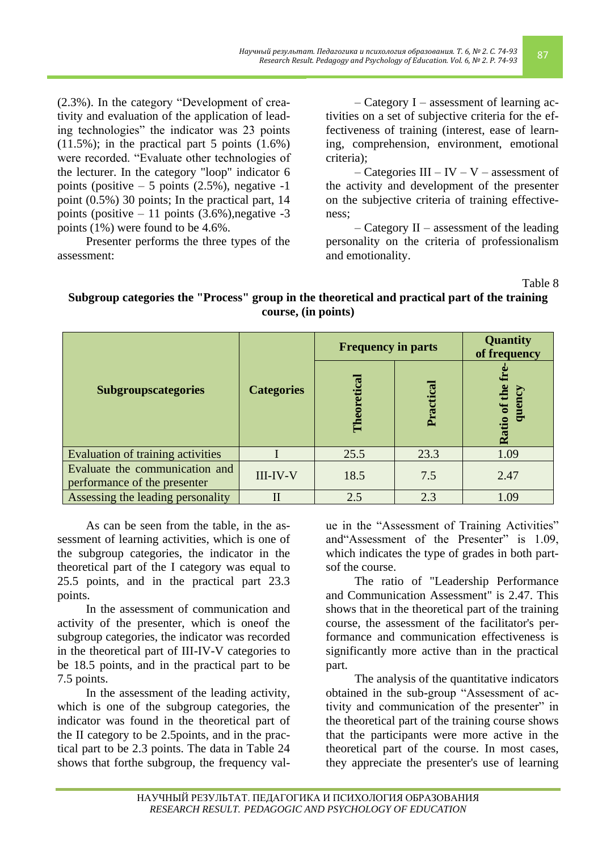(2.3%). In the category "Development of creativity and evaluation of the application of leading technologies" the indicator was 23 points  $(11.5\%)$ ; in the practical part 5 points  $(1.6\%)$ were recorded. "Evaluate other technologies of the lecturer. In the category "loop" indicator 6 points (positive  $-5$  points (2.5%), negative  $-1$ point (0.5%) 30 points; In the practical part, 14 points (positive  $-11$  points (3.6%), negative  $-3$ points (1%) were found to be 4.6%.

Presenter performs the three types of the assessment:

– Category I – assessment of learning activities on a set of subjective criteria for the effectiveness of training (interest, ease of learning, comprehension, environment, emotional criteria);

– Categories  $III - IV - V -$  assessment of the activity and development of the presenter on the subjective criteria of training effectiveness;

– Category II – assessment of the leading personality on the criteria of professionalism and emotionality.

Table 8

## **Subgroup categories the "Process" group in the theoretical and practical part of the training course, (in points)**

|                                                                |                   | <b>Frequency in parts</b> | Quantity<br>of frequency |                        |
|----------------------------------------------------------------|-------------------|---------------------------|--------------------------|------------------------|
| <b>Subgroupscategories</b>                                     | <b>Categories</b> | Theoretica                | Practical                | Ratio of the<br>quency |
| Evaluation of training activities                              |                   | 25.5                      | 23.3                     | 1.09                   |
| Evaluate the communication and<br>performance of the presenter | III-IV-V          | 18.5                      | 7.5                      | 2.47                   |
| Assessing the leading personality                              | $\mathbf{I}$      | 2.5                       | 2.3                      | 1.09                   |

As can be seen from the table, in the assessment of learning activities, which is one of the subgroup categories, the indicator in the theoretical part of the I category was equal to 25.5 points, and in the practical part 23.3 points.

In the assessment of communication and activity of the presenter, which is oneof the subgroup categories, the indicator was recorded in the theoretical part of III-IV-V categories to be 18.5 points, and in the practical part to be 7.5 points.

In the assessment of the leading activity, which is one of the subgroup categories, the indicator was found in the theoretical part of the II category to be 2.5points, and in the practical part to be 2.3 points. The data in Table 24 shows that forthe subgroup, the frequency value in the "Assessment of Training Activities" and"Assessment of the Presenter" is 1.09, which indicates the type of grades in both partsof the course.

The ratio of "Leadership Performance and Communication Assessment" is 2.47. This shows that in the theoretical part of the training course, the assessment of the facilitator's performance and communication effectiveness is significantly more active than in the practical part.

The analysis of the quantitative indicators obtained in the sub-group "Assessment of activity and communication of the presenter" in the theoretical part of the training course shows that the participants were more active in the theoretical part of the course. In most cases, they appreciate the presenter's use of learning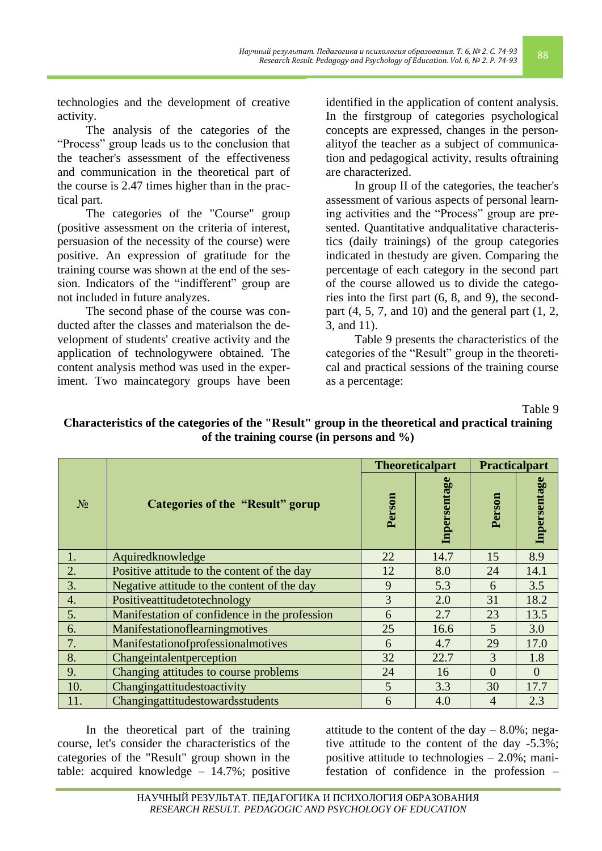technologies and the development of creative activity.

The analysis of the categories of the "Process" group leads us to the conclusion that the teacher's assessment of the effectiveness and communication in the theoretical part of the course is 2.47 times higher than in the practical part.

The categories of the "Course" group (positive assessment on the criteria of interest, persuasion of the necessity of the course) were positive. An expression of gratitude for the training course was shown at the end of the session. Indicators of the "indifferent" group are not included in future analyzes.

The second phase of the course was conducted after the classes and materialson the development of students' creative activity and the application of technologywere obtained. The content analysis method was used in the experiment. Two maincategory groups have been identified in the application of content analysis. In the firstgroup of categories psychological concepts are expressed, changes in the personalityof the teacher as a subject of communication and pedagogical activity, results oftraining are characterized.

In group II of the categories, the teacher's assessment of various aspects of personal learning activities and the "Process" group are presented. Quantitative andqualitative characteristics (daily trainings) of the group categories indicated in thestudy are given. Comparing the percentage of each category in the second part of the course allowed us to divide the categories into the first part (6, 8, and 9), the secondpart  $(4, 5, 7,$  and  $10)$  and the general part  $(1, 2, 1)$ 3, and 11).

Table 9 presents the characteristics of the categories of the "Result" group in the theoretical and practical sessions of the training course as a percentage:

Table 9

**Characteristics of the categories of the "Result" group in the theoretical and practical training of the training course (in persons and %)**

|                |                                               |        | <b>Theoreticalpart</b> | <b>Practicalpart</b> |                |
|----------------|-----------------------------------------------|--------|------------------------|----------------------|----------------|
| N <sub>2</sub> | <b>Categories of the "Result" gorup</b>       | Person | Inpersentage           | Person               | Inpersentage   |
| 1.             | Aquiredknowledge                              | 22     | 14.7                   | 15                   | 8.9            |
| 2.             | Positive attitude to the content of the day   | 12     | 8.0                    | 24                   | 14.1           |
| 3.             | Negative attitude to the content of the day   | 9      | 5.3                    | 6                    | 3.5            |
| 4.             | Positiveattitudetotechnology                  | 3      | 2.0                    | 31                   | 18.2           |
| 5.             | Manifestation of confidence in the profession | 6      | 2.7                    | 23                   | 13.5           |
| 6.             | Manifestationoflearningmotives                | 25     | 16.6                   | 5                    | 3.0            |
| 7.             | Manifestationofprofessionalmotives            | 6      | 4.7                    | 29                   | 17.0           |
| 8.             | Changeintalentperception                      | 32     | 22.7                   | 3                    | 1.8            |
| 9.             | Changing attitudes to course problems         | 24     | 16                     | $\Omega$             | $\overline{0}$ |
| 10.            | Changingattitudestoactivity                   | 5      | 3.3                    | 30                   | 17.7           |
| 11.            | Changingattitudestowardsstudents              | 6      | 4.0                    | 4                    | 2.3            |

In the theoretical part of the training course, let's consider the characteristics of the categories of the "Result" group shown in the table: acquired knowledge – 14.7%; positive attitude to the content of the day  $-8.0\%$ ; negative attitude to the content of the day -5.3%; positive attitude to technologies – 2.0%; manifestation of confidence in the profession –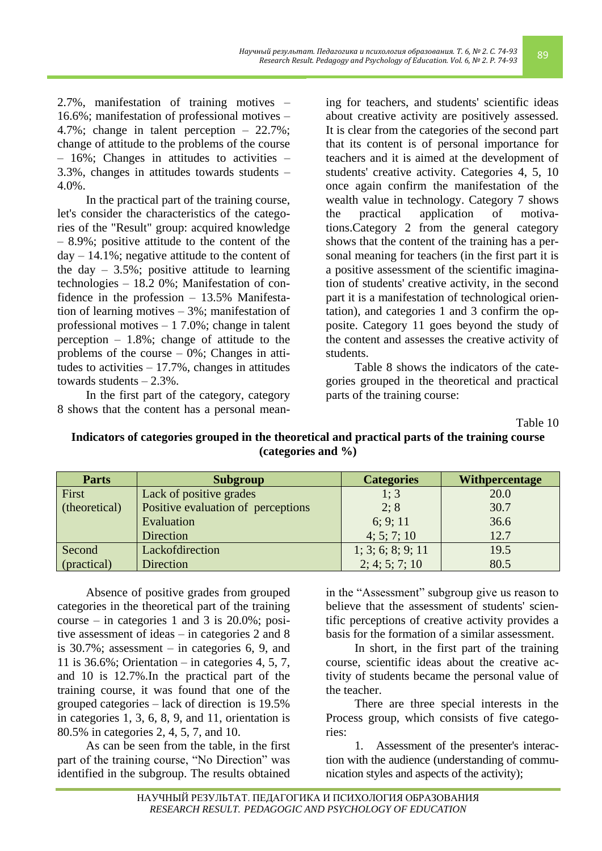2.7%, manifestation of training motives – 16.6%; manifestation of professional motives – 4.7%; change in talent perception – 22.7%; change of attitude to the problems of the course – 16%; Changes in attitudes to activities – 3.3%, changes in attitudes towards students – 4.0%.

In the practical part of the training course, let's consider the characteristics of the categories of the "Result" group: acquired knowledge – 8.9%; positive attitude to the content of the  $day - 14.1\%$ ; negative attitude to the content of the day  $-3.5\%$ ; positive attitude to learning technologies – 18.2 0%; Manifestation of confidence in the profession – 13.5% Manifestation of learning motives – 3%; manifestation of professional motives – 1 7.0%; change in talent perception  $-1.8\%$ ; change of attitude to the problems of the course – 0%; Changes in attitudes to activities  $-17.7\%$ , changes in attitudes towards students  $-2.3\%$ .

In the first part of the category, category 8 shows that the content has a personal meaning for teachers, and students' scientific ideas about creative activity are positively assessed. It is clear from the categories of the second part that its content is of personal importance for teachers and it is aimed at the development of students' creative activity. Categories 4, 5, 10 once again confirm the manifestation of the wealth value in technology. Category 7 shows the practical application of motivations.Category 2 from the general category shows that the content of the training has a personal meaning for teachers (in the first part it is a positive assessment of the scientific imagination of students' creative activity, in the second part it is a manifestation of technological orientation), and categories 1 and 3 confirm the opposite. Category 11 goes beyond the study of the content and assesses the creative activity of students.

Table 8 shows the indicators of the categories grouped in the theoretical and practical parts of the training course:

Table 10

#### **Indicators of categories grouped in the theoretical and practical parts of the training course (categories and %)**

| <b>Parts</b>  | <b>Subgroup</b>                    | <b>Categories</b> | <b>Withpercentage</b> |
|---------------|------------------------------------|-------------------|-----------------------|
| First         | Lack of positive grades            | 1; 3              | 20.0                  |
| (theoretical) | Positive evaluation of perceptions | 2; 8              | 30.7                  |
|               | Evaluation                         | 6; 9; 11          | 36.6                  |
|               | <b>Direction</b>                   | 4; 5; 7; 10       | 12.7                  |
| Second        | Lackofdirection                    | 1; 3; 6; 8; 9; 11 | 19.5                  |
| (practical)   | <b>Direction</b>                   | 2; 4; 5; 7; 10    | 80.5                  |

Absence of positive grades from grouped categories in the theoretical part of the training course – in categories 1 and 3 is 20.0%; positive assessment of ideas – in categories 2 and 8 is 30.7%; assessment – in categories 6, 9, and 11 is 36.6%; Orientation – in categories 4, 5, 7, and 10 is 12.7%.In the practical part of the training course, it was found that one of the grouped categories – lack of direction is 19.5% in categories 1, 3, 6, 8, 9, and 11, orientation is 80.5% in categories 2, 4, 5, 7, and 10.

As can be seen from the table, in the first part of the training course, "No Direction" was identified in the subgroup. The results obtained

in the "Assessment" subgroup give us reason to believe that the assessment of students' scientific perceptions of creative activity provides a basis for the formation of a similar assessment.

In short, in the first part of the training course, scientific ideas about the creative activity of students became the personal value of the teacher.

There are three special interests in the Process group, which consists of five categories:

1. Assessment of the presenter's interaction with the audience (understanding of communication styles and aspects of the activity);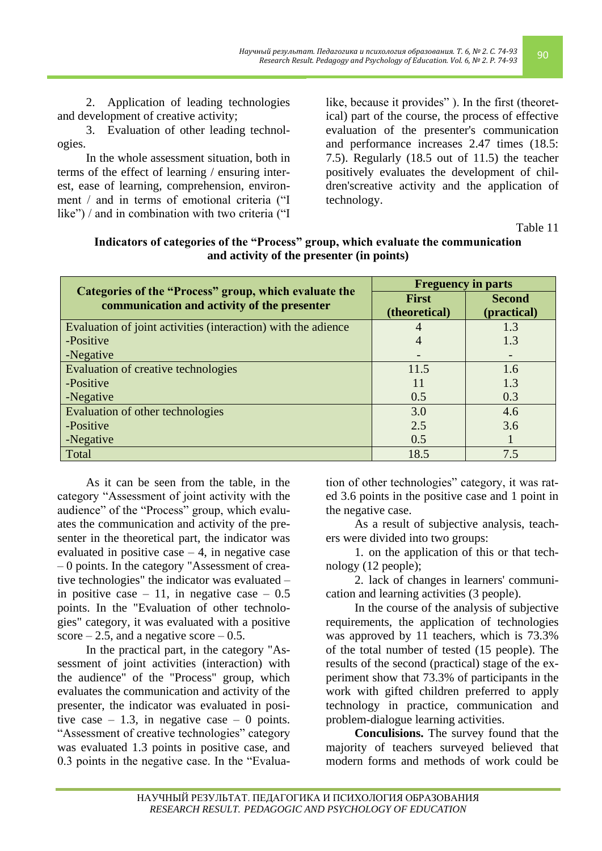2. Application of leading technologies and development of creative activity;

3. Evaluation of other leading technologies.

In the whole assessment situation, both in terms of the effect of learning / ensuring interest, ease of learning, comprehension, environment / and in terms of emotional criteria ("I like") / and in combination with two criteria ("I like, because it provides" ). In the first (theoretical) part of the course, the process of effective evaluation of the presenter's communication and performance increases 2.47 times (18.5: 7.5). Regularly (18.5 out of 11.5) the teacher positively evaluates the development of children'screative activity and the application of technology.

Table 11

| Categories of the "Process" group, which evaluate the<br>communication and activity of the presenter | <b>Freguency in parts</b> |               |
|------------------------------------------------------------------------------------------------------|---------------------------|---------------|
|                                                                                                      | <b>First</b>              | <b>Second</b> |
|                                                                                                      | (theoretical)             | (practical)   |
| Evaluation of joint activities (interaction) with the adience                                        | 4                         | 1.3           |
| -Positive                                                                                            | $\overline{4}$            | 1.3           |
| -Negative                                                                                            |                           |               |
| Evaluation of creative technologies                                                                  | 11.5                      | 1.6           |
| -Positive                                                                                            | 11                        | 1.3           |
| -Negative                                                                                            | 0.5                       | 0.3           |
| Evaluation of other technologies                                                                     | 3.0                       | 4.6           |
| -Positive                                                                                            | 2.5                       | 3.6           |
| -Negative                                                                                            | 0.5                       |               |
| Total                                                                                                | 18.5                      | 7.5           |

**Indicators of categories of the "Process" group, which evaluate the communication and activity of the presenter (in points)**

As it can be seen from the table, in the category "Assessment of joint activity with the audience" of the "Process" group, which evaluates the communication and activity of the presenter in the theoretical part, the indicator was evaluated in positive case  $-4$ , in negative case – 0 points. In the category "Assessment of creative technologies" the indicator was evaluated – in positive case  $-11$ , in negative case  $-0.5$ points. In the "Evaluation of other technologies" category, it was evaluated with a positive score  $-2.5$ , and a negative score  $-0.5$ .

In the practical part, in the category "Assessment of joint activities (interaction) with the audience" of the "Process" group, which evaluates the communication and activity of the presenter, the indicator was evaluated in positive case  $-1.3$ , in negative case  $-0$  points. "Assessment of creative technologies" category was evaluated 1.3 points in positive case, and 0.3 points in the negative case. In the "Evaluation of other technologies" category, it was rated 3.6 points in the positive case and 1 point in the negative case.

As a result of subjective analysis, teachers were divided into two groups:

1. on the application of this or that technology (12 people);

2. lack of changes in learners' communication and learning activities (3 people).

In the course of the analysis of subjective requirements, the application of technologies was approved by 11 teachers, which is 73.3% of the total number of tested (15 people). The results of the second (practical) stage of the experiment show that 73.3% of participants in the work with gifted children preferred to apply technology in practice, communication and problem-dialogue learning activities.

**Conculisions.** The survey found that the majority of teachers surveyed believed that modern forms and methods of work could be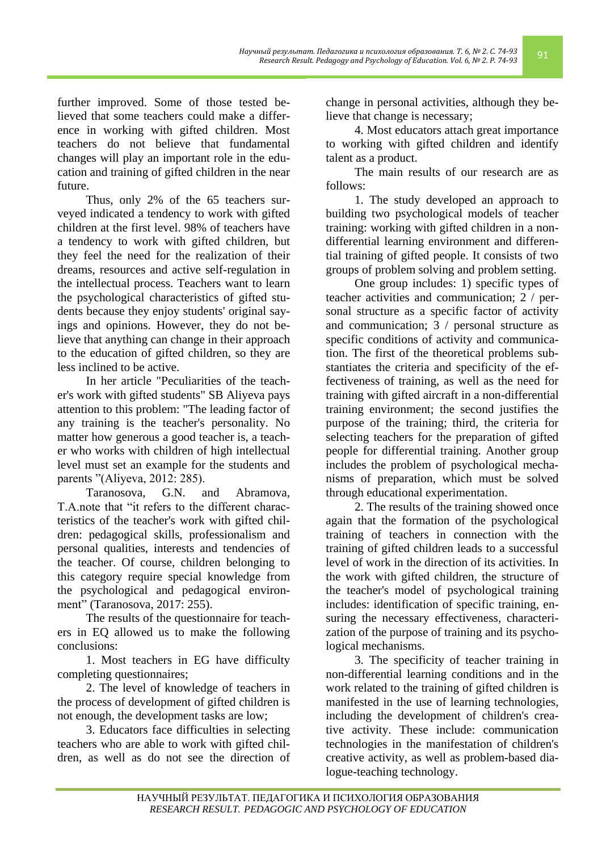further improved. Some of those tested believed that some teachers could make a difference in working with gifted children. Most teachers do not believe that fundamental changes will play an important role in the education and training of gifted children in the near future.

Thus, only 2% of the 65 teachers surveyed indicated a tendency to work with gifted children at the first level. 98% of teachers have a tendency to work with gifted children, but they feel the need for the realization of their dreams, resources and active self-regulation in the intellectual process. Teachers want to learn the psychological characteristics of gifted students because they enjoy students' original sayings and opinions. However, they do not believe that anything can change in their approach to the education of gifted children, so they are less inclined to be active.

In her article "Peculiarities of the teacher's work with gifted students" SB Aliyeva pays attention to this problem: "The leading factor of any training is the teacher's personality. No matter how generous a good teacher is, a teacher who works with children of high intellectual level must set an example for the students and parents "(Aliyeva, 2012: 285).

Taranosova, G.N. and Abramova, T.A.note that "it refers to the different characteristics of the teacher's work with gifted children: pedagogical skills, professionalism and personal qualities, interests and tendencies of the teacher. Of course, children belonging to this category require special knowledge from the psychological and pedagogical environment" (Taranosova, 2017: 255).

The results of the questionnaire for teachers in EQ allowed us to make the following conclusions:

1. Most teachers in EG have difficulty completing questionnaires;

2. The level of knowledge of teachers in the process of development of gifted children is not enough, the development tasks are low;

3. Educators face difficulties in selecting teachers who are able to work with gifted children, as well as do not see the direction of change in personal activities, although they believe that change is necessary;

*Научный результат. Педагогика и психология образования. Т. 6, № 2. С. 74-93*

4. Most educators attach great importance to working with gifted children and identify talent as a product.

The main results of our research are as follows:

1. The study developed an approach to building two psychological models of teacher training: working with gifted children in a nondifferential learning environment and differential training of gifted people. It consists of two groups of problem solving and problem setting.

One group includes: 1) specific types of teacher activities and communication; 2 / personal structure as a specific factor of activity and communication; 3 / personal structure as specific conditions of activity and communication. The first of the theoretical problems substantiates the criteria and specificity of the effectiveness of training, as well as the need for training with gifted aircraft in a non-differential training environment; the second justifies the purpose of the training; third, the criteria for selecting teachers for the preparation of gifted people for differential training. Another group includes the problem of psychological mechanisms of preparation, which must be solved through educational experimentation.

2. The results of the training showed once again that the formation of the psychological training of teachers in connection with the training of gifted children leads to a successful level of work in the direction of its activities. In the work with gifted children, the structure of the teacher's model of psychological training includes: identification of specific training, ensuring the necessary effectiveness, characterization of the purpose of training and its psychological mechanisms.

3. The specificity of teacher training in non-differential learning conditions and in the work related to the training of gifted children is manifested in the use of learning technologies, including the development of children's creative activity. These include: communication technologies in the manifestation of children's creative activity, as well as problem-based dia-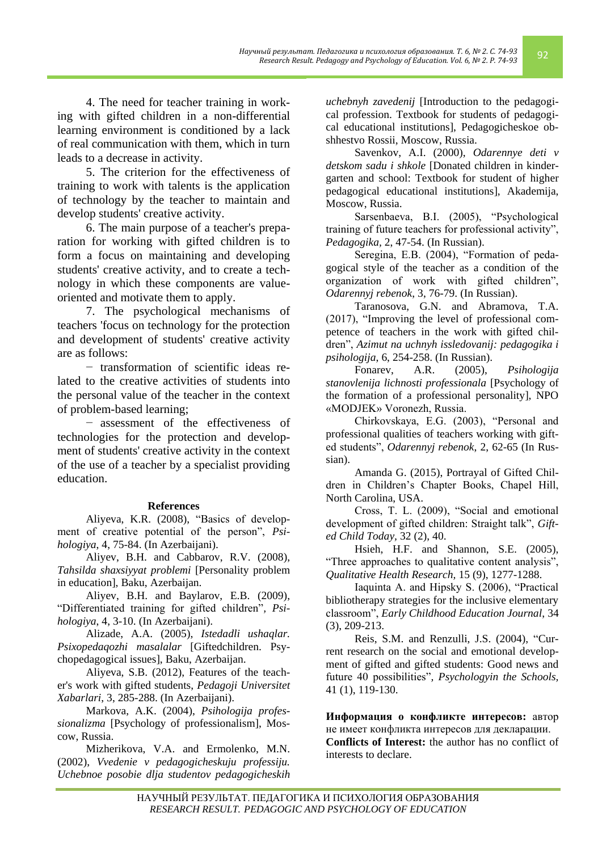4. The need for teacher training in working with gifted children in a non-differential learning environment is conditioned by a lack of real communication with them, which in turn leads to a decrease in activity.

5. The criterion for the effectiveness of training to work with talents is the application of technology by the teacher to maintain and develop students' creative activity.

6. The main purpose of a teacher's preparation for working with gifted children is to form a focus on maintaining and developing students' creative activity, and to create a technology in which these components are valueoriented and motivate them to apply.

7. The psychological mechanisms of teachers 'focus on technology for the protection and development of students' creative activity are as follows:

− transformation of scientific ideas related to the creative activities of students into the personal value of the teacher in the context of problem-based learning;

− assessment of the effectiveness of technologies for the protection and development of students' creative activity in the context of the use of a teacher by a specialist providing education.

# **References**

Aliyeva, K.R. (2008), "Basics of development of creative potential of the person", *Psihologiya*, 4, 75-84. (In Azerbaijani).

Aliyev, B.H. and Cabbarov, R.V. (2008), *Tahsilda shaxsiyyat problemi* [Personality problem in education], Baku, Azerbaijan.

Aliyev, B.H. and Baylarov, E.B. (2009), "Differentiated training for gifted children"*, Psihologiya*, 4, 3-10. (In Azerbaijani).

Alizade, A.A. (2005), *Istedadli ushaqlar. Psixopedaqozhi masalalar* [Giftedchildren. Psychopedagogical issues], Baku, Azerbaijan.

Aliyeva, S.B. (2012), Features of the teacher's work with gifted students, *Pedagoji Universitet Xabarlari*, 3, 285-288. (In Azerbaijani).

Markova, A.K. (2004), *Psihologija professionalizma* [Psychology of professionalism], Moscow, Russia.

Mizherikova, V.A. and Ermolenko, M.N. (2002), *Vvedenie v pedagogicheskuju professiju. Uchebnoe posobie dlja studentov pedagogicheskih*  *uchebnyh zavedenij* [Introduction to the pedagogical profession. Textbook for students of pedagogical educational institutions], Pedagogicheskoe obshhestvo Rossii, Moscow, Russia.

*Научный результат. Педагогика и психология образования. Т. 6, № 2. С. 74-93*

Savenkov, A.I. (2000), *Odarennye deti v detskom sadu i shkole* [Donated children in kindergarten and school: Textbook for student of higher pedagogical educational institutions], Akademija, Moscow, Russia.

Sarsenbaeva, B.I. (2005), "Psychological training of future teachers for professional activity", *Pedagogika,* 2, 47-54. (In Russian).

Seregina, E.B. (2004), "Formation of pedagogical style of the teacher as a condition of the organization of work with gifted children", *Odarennyj rebenok*, 3, 76-79. (In Russian).

Taranosova, G.N. and Abramova, T.A. (2017), "Improving the level of professional competence of teachers in the work with gifted children", *Azimut na uchnyh issledovanij: pedagogika i psihologija*, 6, 254-258. (In Russian).

Fonarev, A.R. (2005), *Psihologija stanovlenija lichnosti professionala* [Psychology of the formation of a professional personality], NPO «MODJEK» Voronezh, Russia.

Chirkovskaya, E.G. (2003), "Personal and professional qualities of teachers working with gifted students", *Odarennyj rebenok*, 2, 62-65 (In Russian).

Amanda G. (2015), Portrayal of Gifted Children in Children's Chapter Books, Chapel Hill, North Carolina, USA.

Cross, T. L. (2009), "Social and emotional development of gifted children: Straight talk", *Gifted Child Today,* 32 (2), 40.

Hsieh, H.F. and Shannon, S.E. (2005), "Three approaches to qualitative content analysis", *Qualitative Health Research,* 15 (9), 1277-1288.

Iaquinta A. and Hipsky S. (2006), "Practical bibliotherapy strategies for the inclusive elementary classroom", *Early Childhood Education Journal*, 34 (3), 209-213.

Reis, S.M. and Renzulli, J.S. (2004), "Current research on the social and emotional development of gifted and gifted students: Good news and future 40 possibilities"*, Psychologyin the Schools,* 41 (1), 119-130.

**Информация о конфликте интересов:** автор не имеет конфликта интересов для декларации. **Conflicts of Interest:** the author has no conflict of